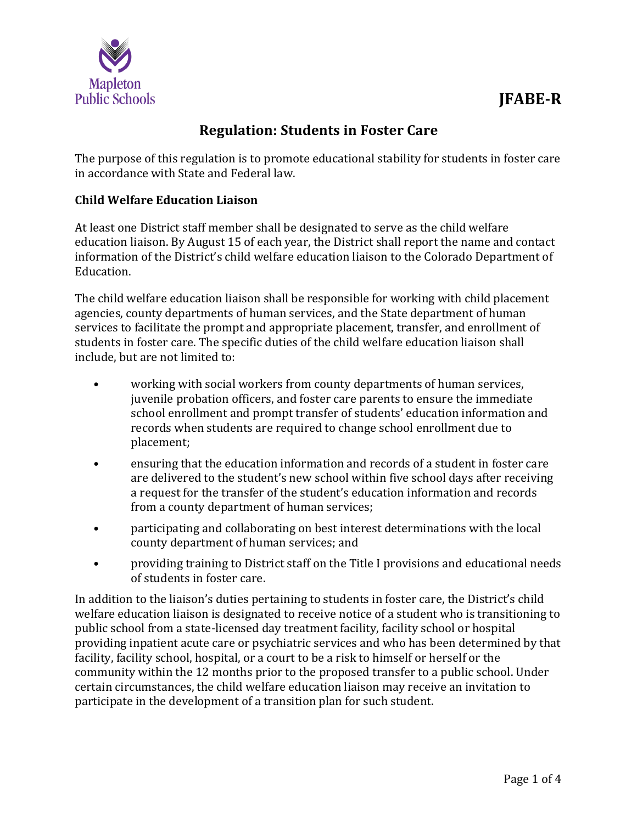

# **JFABE-R**

## **Regulation: Students in Foster Care**

The purpose of this regulation is to promote educational stability for students in foster care in accordance with State and Federal law.

### **Child Welfare Education Liaison**

At least one District staff member shall be designated to serve as the child welfare education liaison. By August 15 of each year, the District shall report the name and contact information of the District's child welfare education liaison to the Colorado Department of Education.

The child welfare education liaison shall be responsible for working with child placement agencies, county departments of human services, and the State department of human services to facilitate the prompt and appropriate placement, transfer, and enrollment of students in foster care. The specific duties of the child welfare education liaison shall include, but are not limited to:

- working with social workers from county departments of human services, juvenile probation officers, and foster care parents to ensure the immediate school enrollment and prompt transfer of students' education information and records when students are required to change school enrollment due to placement;
- ensuring that the education information and records of a student in foster care are delivered to the student's new school within five school days after receiving a request for the transfer of the student's education information and records from a county department of human services;
- participating and collaborating on best interest determinations with the local county department of human services; and
- providing training to District staff on the Title I provisions and educational needs of students in foster care.

In addition to the liaison's duties pertaining to students in foster care, the District's child welfare education liaison is designated to receive notice of a student who is transitioning to public school from a state-licensed day treatment facility, facility school or hospital providing inpatient acute care or psychiatric services and who has been determined by that facility, facility school, hospital, or a court to be a risk to himself or herself or the community within the 12 months prior to the proposed transfer to a public school. Under certain circumstances, the child welfare education liaison may receive an invitation to participate in the development of a transition plan for such student.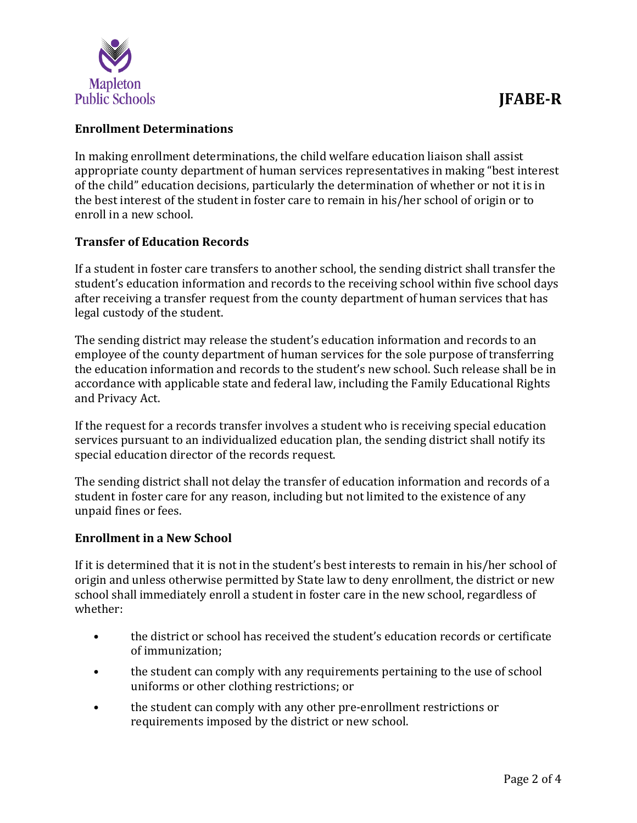

#### **Enrollment Determinations**

In making enrollment determinations, the child welfare education liaison shall assist appropriate county department of human services representatives in making "best interest of the child" education decisions, particularly the determination of whether or not it is in the best interest of the student in foster care to remain in his/her school of origin or to enroll in a new school.

#### **Transfer of Education Records**

If a student in foster care transfers to another school, the sending district shall transfer the student's education information and records to the receiving school within five school days after receiving a transfer request from the county department of human services that has legal custody of the student.

The sending district may release the student's education information and records to an employee of the county department of human services for the sole purpose of transferring the education information and records to the student's new school. Such release shall be in accordance with applicable state and federal law, including the Family Educational Rights and Privacy Act.

If the request for a records transfer involves a student who is receiving special education services pursuant to an individualized education plan, the sending district shall notify its special education director of the records request.

The sending district shall not delay the transfer of education information and records of a student in foster care for any reason, including but not limited to the existence of any unpaid fines or fees.

#### **Enrollment in a New School**

If it is determined that it is not in the student's best interests to remain in his/her school of origin and unless otherwise permitted by State law to deny enrollment, the district or new school shall immediately enroll a student in foster care in the new school, regardless of whether:

- the district or school has received the student's education records or certificate of immunization;
- the student can comply with any requirements pertaining to the use of school uniforms or other clothing restrictions; or
- the student can comply with any other pre-enrollment restrictions or requirements imposed by the district or new school.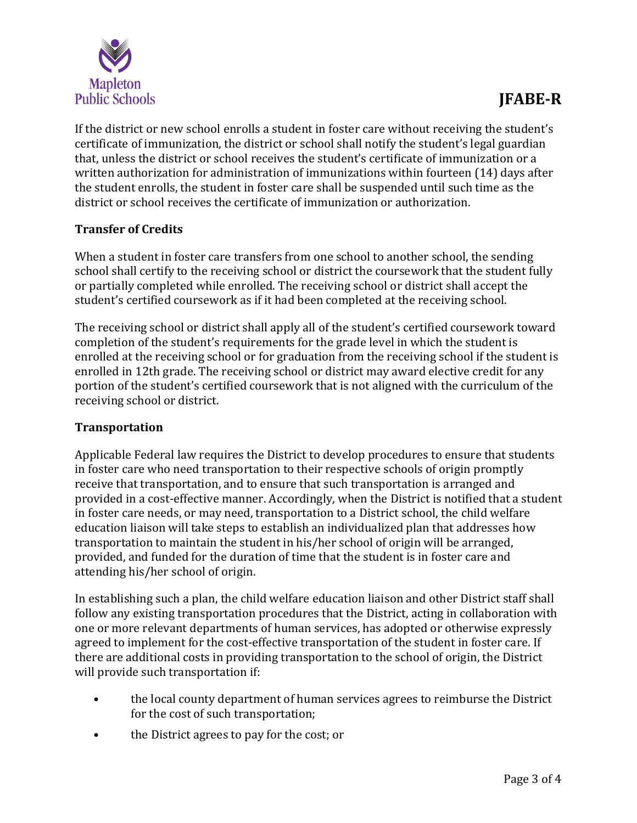

If the district or new school enrolls a student in foster care without receiving the student's certificate of immunization, the district or school shall notify the student's legal guardian that, unless the district or school receives the student's certificate of immunization or a written authorization for administration of immunizations within fourteen (14) days after the student enrolls, the student in foster care shall be suspended until such time as the district or school receives the certificate of immunization or authorization.

#### **Transfer of Credits**

When a student in foster care transfers from one school to another school, the sending school shall certify to the receiving school or district the coursework that the student fully or partially completed while enrolled. The receiving school or district shall accept the student's certified coursework as if it had been completed at the receiving school.

The receiving school or district shall apply all of the student's certified coursework toward completion of the student's requirements for the grade level in which the student is enrolled at the receiving school or for graduation from the receiving school if the student is enrolled in 12th grade. The receiving school or district may award elective credit for any portion of the student's certified coursework that is not aligned with the curriculum of the receiving school or district.

#### **Transportation**

Applicable Federal law requires the District to develop procedures to ensure that students in foster care who need transportation to their respective schools of origin promptly receive that transportation, and to ensure that such transportation is arranged and provided in a cost-effective manner. Accordingly, when the District is notified that a student in foster care needs, or may need, transportation to a District school, the child welfare education liaison will take steps to establish an individualized plan that addresses how transportation to maintain the student in his/her school of origin will be arranged, provided, and funded for the duration of time that the student is in foster care and attending his/her school of origin.

In establishing such a plan, the child welfare education liaison and other District staff shall follow any existing transportation procedures that the District, acting in collaboration with one or more relevant departments of human services, has adopted or otherwise expressly agreed to implement for the cost-effective transportation of the student in foster care. If there are additional costs in providing transportation to the school of origin, the District will provide such transportation if:

- the local county department of human services agrees to reimburse the District for the cost of such transportation;
- the District agrees to pay for the cost; or